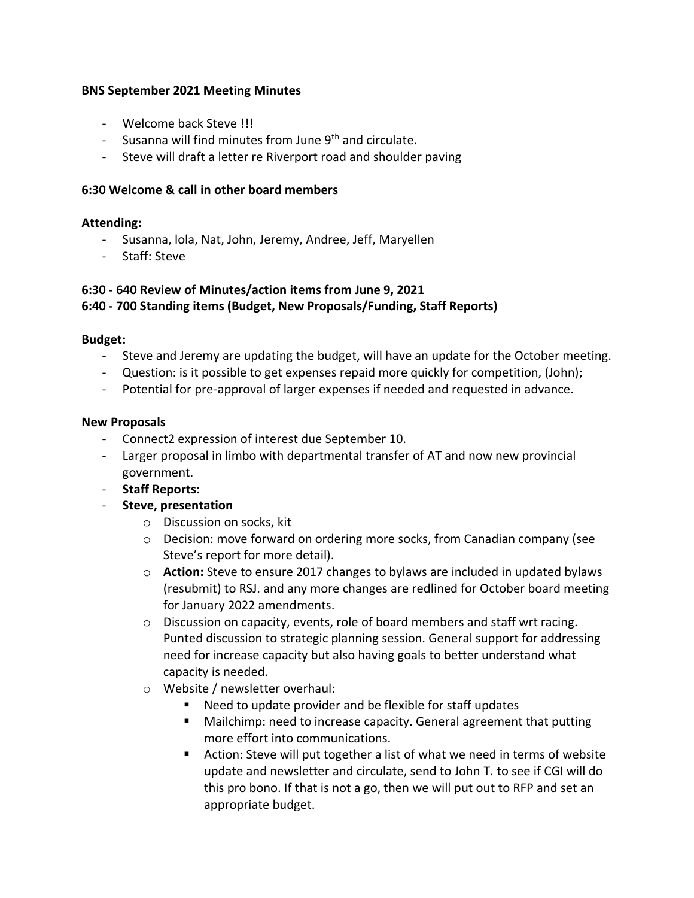#### **BNS September 2021 Meeting Minutes**

- Welcome back Steve !!!
- Susanna will find minutes from June 9<sup>th</sup> and circulate.
- Steve will draft a letter re Riverport road and shoulder paving

# **6:30 Welcome & call in other board members**

# **Attending:**

- Susanna, lola, Nat, John, Jeremy, Andree, Jeff, Maryellen
- Staff: Steve

# **6:30 - 640 Review of Minutes/action items from June 9, 2021 6:40 - 700 Standing items (Budget, New Proposals/Funding, Staff Reports)**

### **Budget:**

- Steve and Jeremy are updating the budget, will have an update for the October meeting.
- Question: is it possible to get expenses repaid more quickly for competition, (John);
- Potential for pre-approval of larger expenses if needed and requested in advance.

#### **New Proposals**

- Connect2 expression of interest due September 10.
- Larger proposal in limbo with departmental transfer of AT and now new provincial government.
- **Staff Reports:**
- **Steve, presentation**
	- o Discussion on socks, kit
	- $\circ$  Decision: move forward on ordering more socks, from Canadian company (see Steve's report for more detail).
	- o **Action:** Steve to ensure 2017 changes to bylaws are included in updated bylaws (resubmit) to RSJ. and any more changes are redlined for October board meeting for January 2022 amendments.
	- $\circ$  Discussion on capacity, events, role of board members and staff wrt racing. Punted discussion to strategic planning session. General support for addressing need for increase capacity but also having goals to better understand what capacity is needed.
	- o Website / newsletter overhaul:
		- Need to update provider and be flexible for staff updates
		- Mailchimp: need to increase capacity. General agreement that putting more effort into communications.
		- Action: Steve will put together a list of what we need in terms of website update and newsletter and circulate, send to John T. to see if CGI will do this pro bono. If that is not a go, then we will put out to RFP and set an appropriate budget.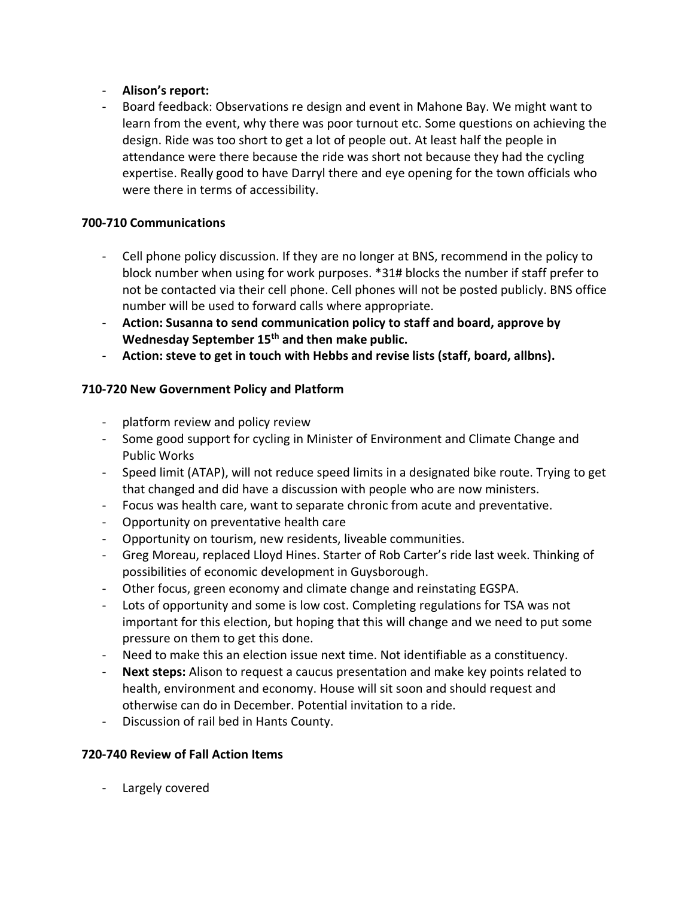# - **Alison's report:**

- Board feedback: Observations re design and event in Mahone Bay. We might want to learn from the event, why there was poor turnout etc. Some questions on achieving the design. Ride was too short to get a lot of people out. At least half the people in attendance were there because the ride was short not because they had the cycling expertise. Really good to have Darryl there and eye opening for the town officials who were there in terms of accessibility.

### **700-710 Communications**

- Cell phone policy discussion. If they are no longer at BNS, recommend in the policy to block number when using for work purposes. \*31# blocks the number if staff prefer to not be contacted via their cell phone. Cell phones will not be posted publicly. BNS office number will be used to forward calls where appropriate.
- **Action: Susanna to send communication policy to staff and board, approve by Wednesday September 15th and then make public.**
- **Action: steve to get in touch with Hebbs and revise lists (staff, board, allbns).**

# **710-720 New Government Policy and Platform**

- platform review and policy review
- Some good support for cycling in Minister of Environment and Climate Change and Public Works
- Speed limit (ATAP), will not reduce speed limits in a designated bike route. Trying to get that changed and did have a discussion with people who are now ministers.
- Focus was health care, want to separate chronic from acute and preventative.
- Opportunity on preventative health care
- Opportunity on tourism, new residents, liveable communities.
- Greg Moreau, replaced Lloyd Hines. Starter of Rob Carter's ride last week. Thinking of possibilities of economic development in Guysborough.
- Other focus, green economy and climate change and reinstating EGSPA.
- Lots of opportunity and some is low cost. Completing regulations for TSA was not important for this election, but hoping that this will change and we need to put some pressure on them to get this done.
- Need to make this an election issue next time. Not identifiable as a constituency.
- **Next steps:** Alison to request a caucus presentation and make key points related to health, environment and economy. House will sit soon and should request and otherwise can do in December. Potential invitation to a ride.
- Discussion of rail bed in Hants County.

# **720-740 Review of Fall Action Items**

- Largely covered